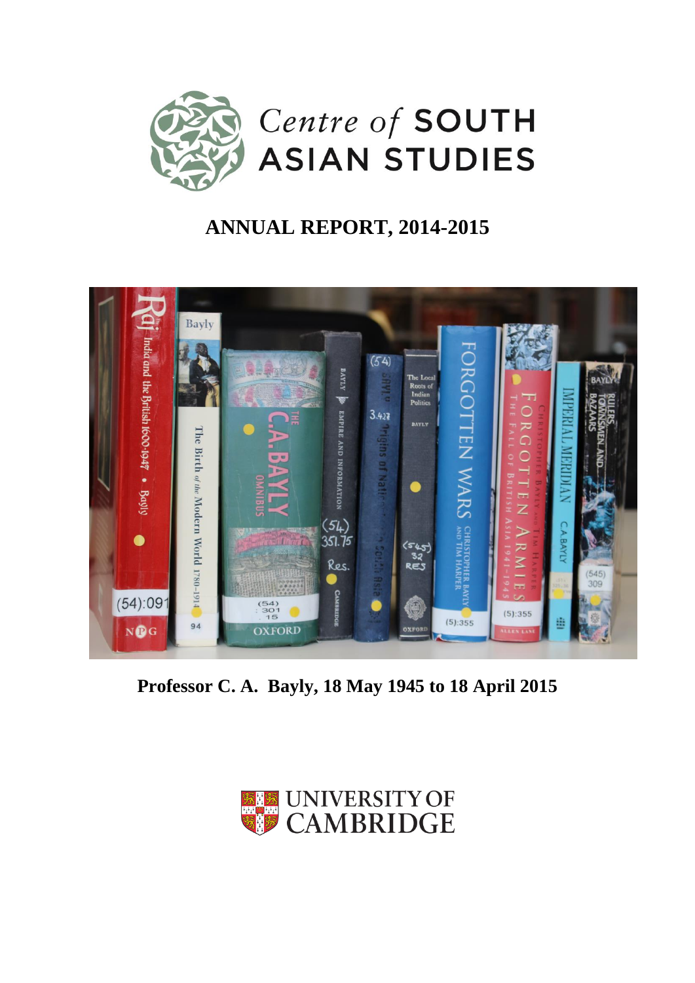

# **ANNUAL REPORT, 2014-2015**



**Professor C. A. Bayly, 18 May 1945 to 18 April 2015**

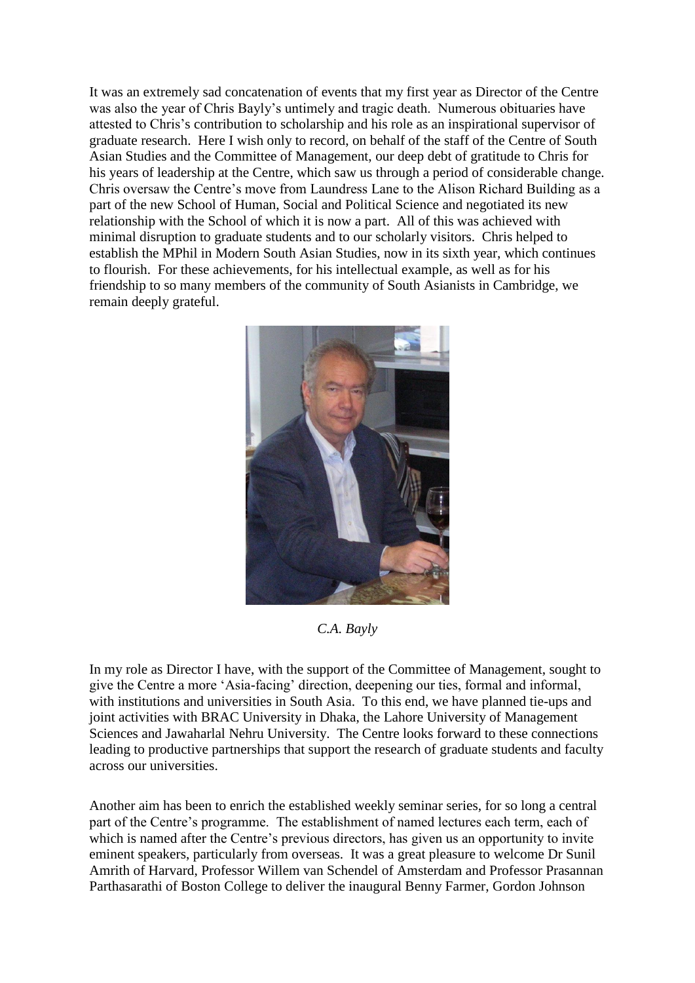It was an extremely sad concatenation of events that my first year as Director of the Centre was also the year of Chris Bayly's untimely and tragic death. Numerous obituaries have attested to Chris's contribution to scholarship and his role as an inspirational supervisor of graduate research. Here I wish only to record, on behalf of the staff of the Centre of South Asian Studies and the Committee of Management, our deep debt of gratitude to Chris for his years of leadership at the Centre, which saw us through a period of considerable change. Chris oversaw the Centre's move from Laundress Lane to the Alison Richard Building as a part of the new School of Human, Social and Political Science and negotiated its new relationship with the School of which it is now a part. All of this was achieved with minimal disruption to graduate students and to our scholarly visitors. Chris helped to establish the MPhil in Modern South Asian Studies, now in its sixth year, which continues to flourish. For these achievements, for his intellectual example, as well as for his friendship to so many members of the community of South Asianists in Cambridge, we remain deeply grateful.



*C.A. Bayly*

In my role as Director I have, with the support of the Committee of Management, sought to give the Centre a more 'Asia-facing' direction, deepening our ties, formal and informal, with institutions and universities in South Asia. To this end, we have planned tie-ups and joint activities with BRAC University in Dhaka, the Lahore University of Management Sciences and Jawaharlal Nehru University. The Centre looks forward to these connections leading to productive partnerships that support the research of graduate students and faculty across our universities.

Another aim has been to enrich the established weekly seminar series, for so long a central part of the Centre's programme. The establishment of named lectures each term, each of which is named after the Centre's previous directors, has given us an opportunity to invite eminent speakers, particularly from overseas. It was a great pleasure to welcome Dr Sunil Amrith of Harvard, Professor Willem van Schendel of Amsterdam and Professor Prasannan Parthasarathi of Boston College to deliver the inaugural Benny Farmer, Gordon Johnson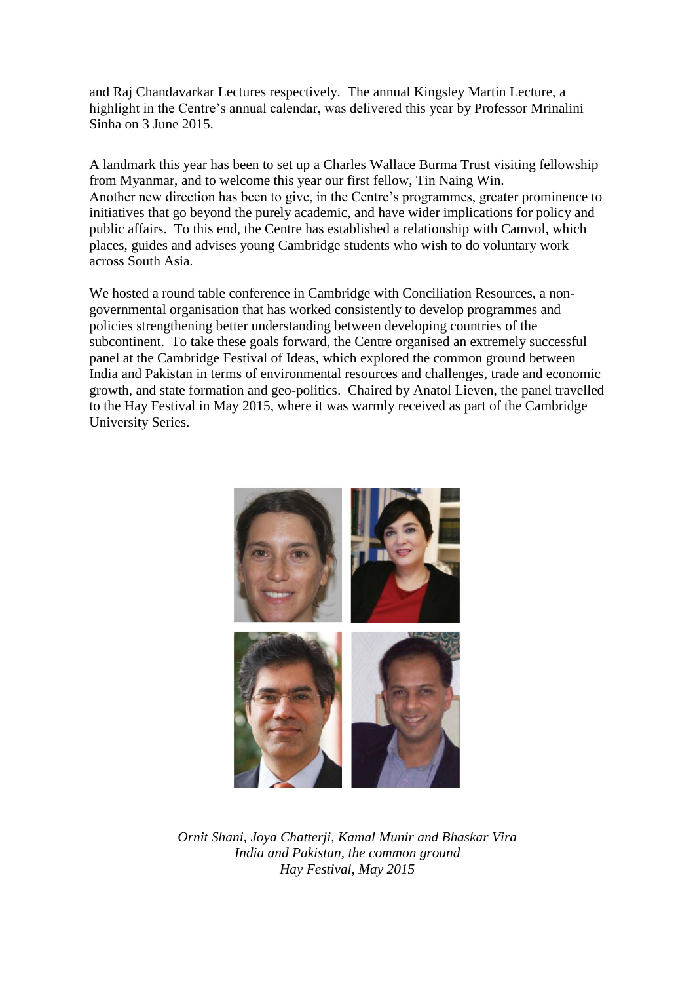and Raj Chandavarkar Lectures respectively.The annual Kingsley Martin Lecture, a highlight in the Centre's annual calendar, was delivered this year by Professor Mrinalini Sinha on 3 June 2015.

A landmark this year has been to set up a Charles Wallace Burma Trust visiting fellowship from Myanmar, and to welcome this year our first fellow, Tin Naing Win. Another new direction has been to give, in the Centre's programmes, greater prominence to initiatives that go beyond the purely academic, and have wider implications for policy and public affairs. To this end, the Centre has established a relationship with Camvol, which places, guides and advises young Cambridge students who wish to do voluntary work across South Asia.

We hosted a round table conference in Cambridge with Conciliation Resources, a nongovernmental organisation that has worked consistently to develop programmes and policies strengthening better understanding between developing countries of the subcontinent. To take these goals forward, the Centre organised an extremely successful panel at the Cambridge Festival of Ideas, which explored the common ground between India and Pakistan in terms of environmental resources and challenges, trade and economic growth, and state formation and geo-politics. Chaired by Anatol Lieven, the panel travelled to the Hay Festival in May 2015, where it was warmly received as part of the Cambridge University Series.



*Ornit Shani, Joya Chatterji, Kamal Munir and Bhaskar Vira India and Pakistan, the common ground Hay Festival, May 2015*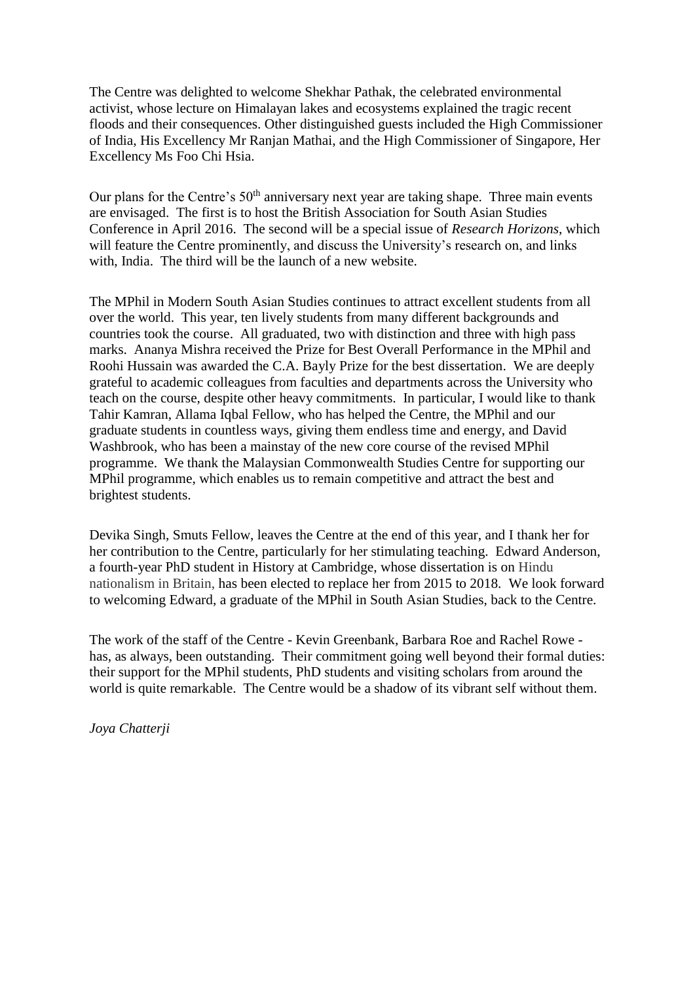The Centre was delighted to welcome Shekhar Pathak, the celebrated environmental activist, whose lecture on Himalayan lakes and ecosystems explained the tragic recent floods and their consequences. Other distinguished guests included the High Commissioner of India, His Excellency Mr Ranjan Mathai, and the High Commissioner of Singapore, Her Excellency Ms Foo Chi Hsia.

Our plans for the Centre's 50<sup>th</sup> anniversary next year are taking shape. Three main events are envisaged. The first is to host the British Association for South Asian Studies Conference in April 2016. The second will be a special issue of *Research Horizons*, which will feature the Centre prominently, and discuss the University's research on, and links with, India. The third will be the launch of a new website.

The MPhil in Modern South Asian Studies continues to attract excellent students from all over the world. This year, ten lively students from many different backgrounds and countries took the course. All graduated, two with distinction and three with high pass marks. Ananya Mishra received the Prize for Best Overall Performance in the MPhil and Roohi Hussain was awarded the C.A. Bayly Prize for the best dissertation.We are deeply grateful to academic colleagues from faculties and departments across the University who teach on the course, despite other heavy commitments. In particular, I would like to thank Tahir Kamran, Allama Iqbal Fellow, who has helped the Centre, the MPhil and our graduate students in countless ways, giving them endless time and energy, and David Washbrook, who has been a mainstay of the new core course of the revised MPhil programme. We thank the Malaysian Commonwealth Studies Centre for supporting our MPhil programme, which enables us to remain competitive and attract the best and brightest students.

Devika Singh, Smuts Fellow, leaves the Centre at the end of this year, and I thank her for her contribution to the Centre, particularly for her stimulating teaching. Edward Anderson, a fourth-year PhD student in History at Cambridge, whose dissertation is on Hindu nationalism in Britain, has been elected to replace her from 2015 to 2018. We look forward to welcoming Edward, a graduate of the MPhil in South Asian Studies, back to the Centre.

The work of the staff of the Centre - Kevin Greenbank, Barbara Roe and Rachel Rowe has, as always, been outstanding. Their commitment going well beyond their formal duties: their support for the MPhil students, PhD students and visiting scholars from around the world is quite remarkable. The Centre would be a shadow of its vibrant self without them.

*Joya Chatterji*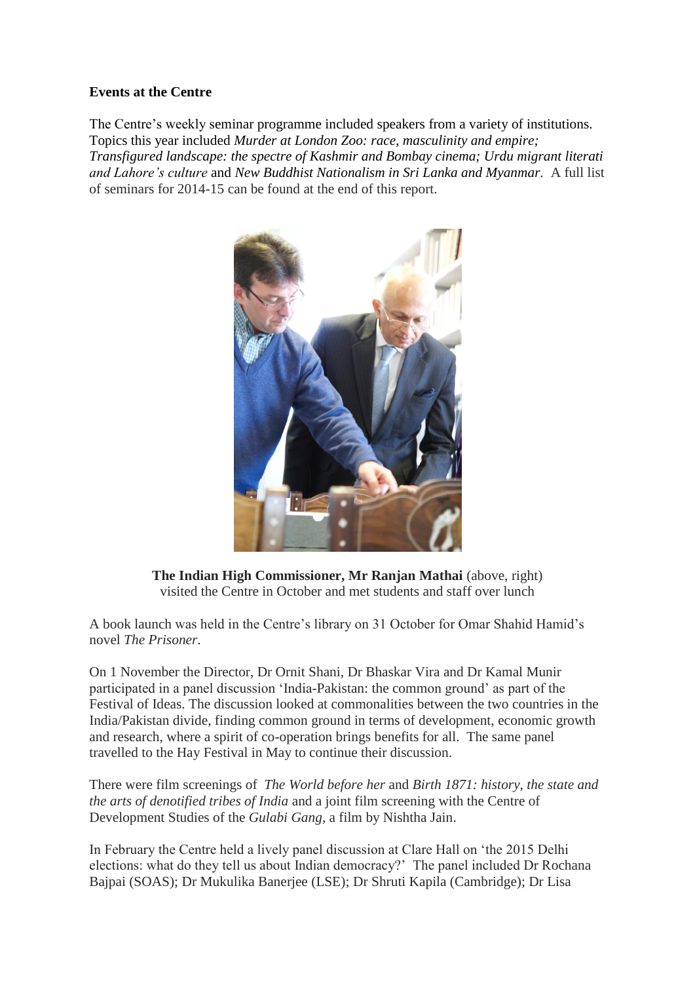#### **Events at the Centre**

The Centre's weekly seminar programme included speakers from a variety of institutions. Topics this year included *Murder at London Zoo: race, masculinity and empire; Transfigured landscape: the spectre of Kashmir and Bombay cinema; Urdu migrant literati and Lahore's culture* and *New Buddhist Nationalism in Sri Lanka and Myanmar.* A full list of seminars for 2014-15 can be found at the end of this report.



**The Indian High Commissioner, Mr Ranjan Mathai** (above, right) visited the Centre in October and met students and staff over lunch

A book launch was held in the Centre's library on 31 October for Omar Shahid Hamid's novel *The Prisoner*.

On 1 November the Director, Dr Ornit Shani, Dr Bhaskar Vira and Dr Kamal Munir participated in a panel discussion 'India-Pakistan: the common ground' as part of the Festival of Ideas. The discussion looked at commonalities between the two countries in the India/Pakistan divide, finding common ground in terms of development, economic growth and research, where a spirit of co-operation brings benefits for all. The same panel travelled to the Hay Festival in May to continue their discussion.

There were film screenings of *The World before her* and *Birth 1871: history, the state and the arts of denotified tribes of India* and a joint film screening with the Centre of Development Studies of the *Gulabi Gang*, a film by Nishtha Jain.

In February the Centre held a lively panel discussion at Clare Hall on 'the 2015 Delhi elections: what do they tell us about Indian democracy?' The panel included Dr Rochana Bajpai (SOAS); Dr Mukulika Banerjee (LSE); Dr Shruti Kapila (Cambridge); Dr Lisa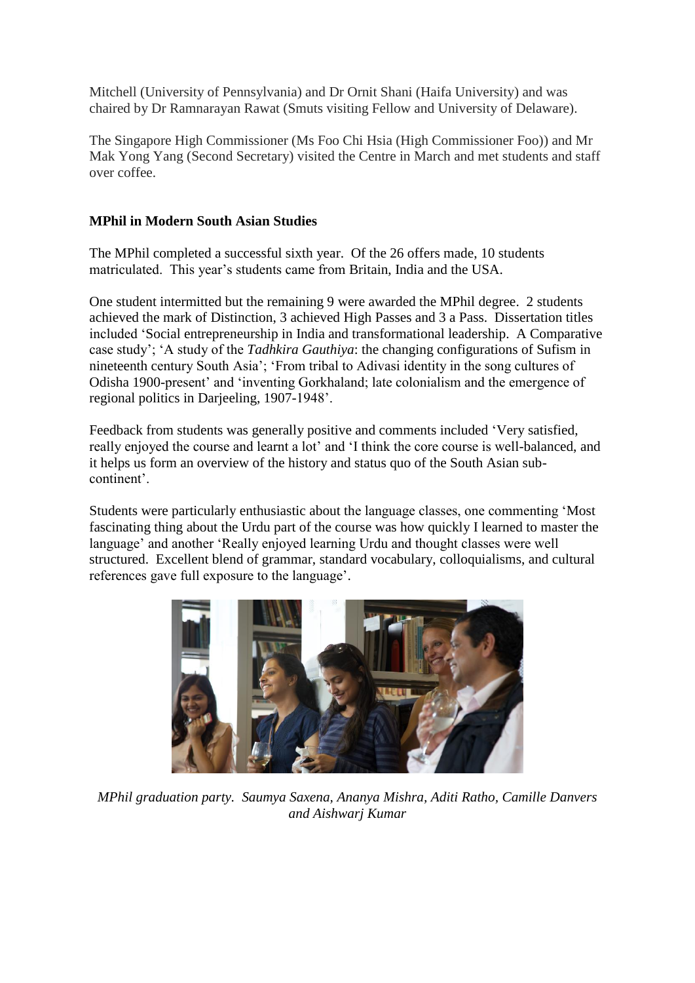Mitchell (University of Pennsylvania) and Dr Ornit Shani (Haifa University) and was chaired by Dr Ramnarayan Rawat (Smuts visiting Fellow and University of Delaware).

The Singapore High Commissioner (Ms Foo Chi Hsia (High Commissioner Foo)) and Mr Mak Yong Yang (Second Secretary) visited the Centre in March and met students and staff over coffee.

## **MPhil in Modern South Asian Studies**

The MPhil completed a successful sixth year. Of the 26 offers made, 10 students matriculated. This year's students came from Britain, India and the USA.

One student intermitted but the remaining 9 were awarded the MPhil degree. 2 students achieved the mark of Distinction, 3 achieved High Passes and 3 a Pass. Dissertation titles included 'Social entrepreneurship in India and transformational leadership. A Comparative case study'; 'A study of the *Tadhkira Gauthiya*: the changing configurations of Sufism in nineteenth century South Asia'; 'From tribal to Adivasi identity in the song cultures of Odisha 1900-present' and 'inventing Gorkhaland; late colonialism and the emergence of regional politics in Darjeeling, 1907-1948'.

Feedback from students was generally positive and comments included 'Very satisfied, really enjoyed the course and learnt a lot' and 'I think the core course is well-balanced, and it helps us form an overview of the history and status quo of the South Asian subcontinent'.

Students were particularly enthusiastic about the language classes, one commenting 'Most fascinating thing about the Urdu part of the course was how quickly I learned to master the language' and another 'Really enjoyed learning Urdu and thought classes were well structured. Excellent blend of grammar, standard vocabulary, colloquialisms, and cultural references gave full exposure to the language'.



*MPhil graduation party. Saumya Saxena, Ananya Mishra, Aditi Ratho, Camille Danvers and Aishwarj Kumar*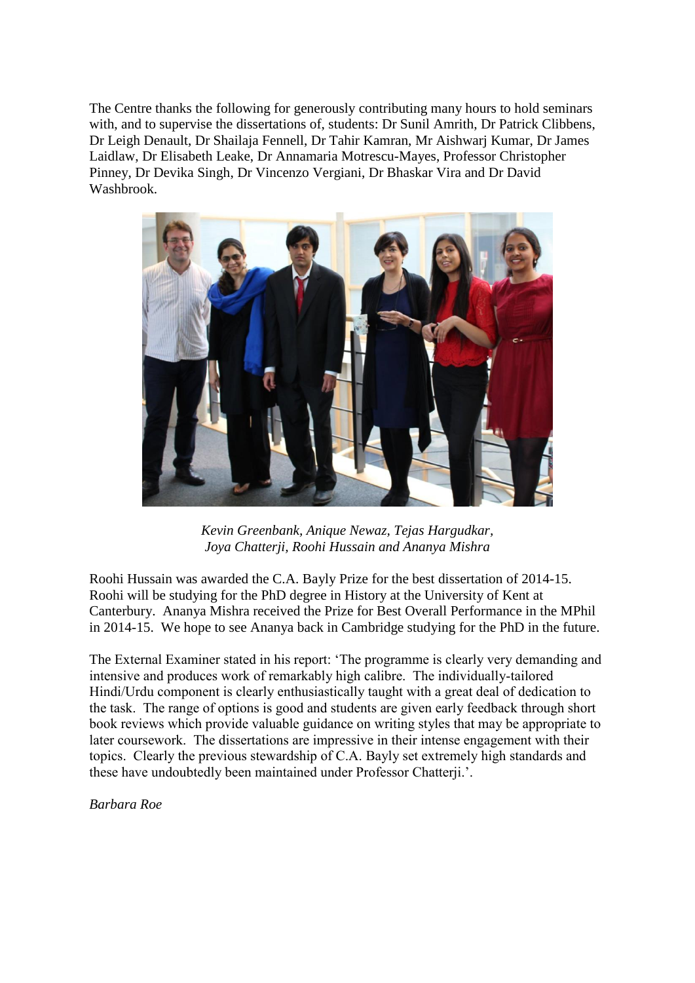The Centre thanks the following for generously contributing many hours to hold seminars with, and to supervise the dissertations of, students: Dr Sunil Amrith, Dr Patrick Clibbens, Dr Leigh Denault, Dr Shailaja Fennell, Dr Tahir Kamran, Mr Aishwarj Kumar, Dr James Laidlaw, Dr Elisabeth Leake, Dr Annamaria Motrescu-Mayes, Professor Christopher Pinney, Dr Devika Singh, Dr Vincenzo Vergiani, Dr Bhaskar Vira and Dr David Washbrook.



*Kevin Greenbank, Anique Newaz, Tejas Hargudkar, Joya Chatterji, Roohi Hussain and Ananya Mishra*

Roohi Hussain was awarded the C.A. Bayly Prize for the best dissertation of 2014-15. Roohi will be studying for the PhD degree in History at the University of Kent at Canterbury. Ananya Mishra received the Prize for Best Overall Performance in the MPhil in 2014-15. We hope to see Ananya back in Cambridge studying for the PhD in the future.

The External Examiner stated in his report: 'The programme is clearly very demanding and intensive and produces work of remarkably high calibre. The individually-tailored Hindi/Urdu component is clearly enthusiastically taught with a great deal of dedication to the task. The range of options is good and students are given early feedback through short book reviews which provide valuable guidance on writing styles that may be appropriate to later coursework. The dissertations are impressive in their intense engagement with their topics. Clearly the previous stewardship of C.A. Bayly set extremely high standards and these have undoubtedly been maintained under Professor Chatterji.'.

*Barbara Roe*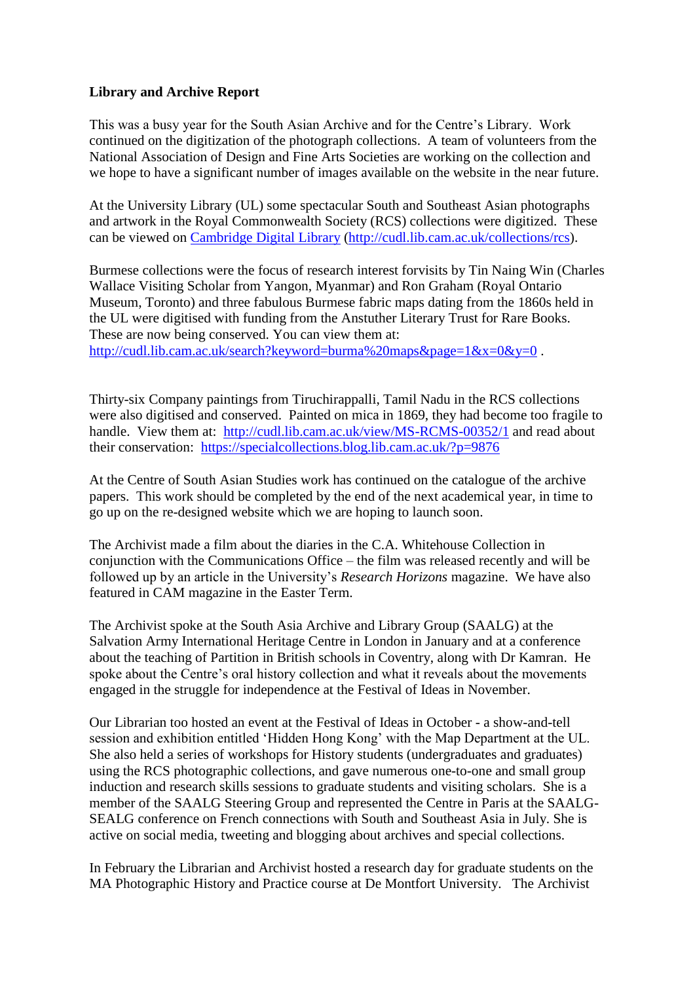#### **Library and Archive Report**

This was a busy year for the South Asian Archive and for the Centre's Library. Work continued on the digitization of the photograph collections. A team of volunteers from the National Association of Design and Fine Arts Societies are working on the collection and we hope to have a significant number of images available on the website in the near future.

At the University Library (UL) some spectacular South and Southeast Asian photographs and artwork in the Royal Commonwealth Society (RCS) collections were digitized. These can be viewed on [Cambridge Digital Library](http://cudl.lib.cam.ac.uk/collections/rcs) [\(http://cudl.lib.cam.ac.uk/collections/rcs\)](http://cudl.lib.cam.ac.uk/collections/rcs).

Burmese collections were the focus of research interest forvisits by Tin Naing Win (Charles Wallace Visiting Scholar from Yangon, Myanmar) and Ron Graham (Royal Ontario Museum, Toronto) and three fabulous Burmese fabric maps dating from the 1860s held in the UL were digitised with funding from the Anstuther Literary Trust for Rare Books. These are now being conserved. You can view them at: <http://cudl.lib.cam.ac.uk/search?keyword=burma%20maps&page=1&x=0&y=0>.

Thirty-six Company paintings from Tiruchirappalli, Tamil Nadu in the RCS collections were also digitised and conserved. Painted on mica in 1869, they had become too fragile to handle. View them at: <http://cudl.lib.cam.ac.uk/view/MS-RCMS-00352/1> and read about their conservation: <https://specialcollections.blog.lib.cam.ac.uk/?p=9876>

At the Centre of South Asian Studies work has continued on the catalogue of the archive papers. This work should be completed by the end of the next academical year, in time to go up on the re-designed website which we are hoping to launch soon.

The Archivist made a film about the diaries in the C.A. Whitehouse Collection in conjunction with the Communications Office – the film was released recently and will be followed up by an article in the University's *Research Horizons* magazine. We have also featured in CAM magazine in the Easter Term.

The Archivist spoke at the South Asia Archive and Library Group (SAALG) at the Salvation Army International Heritage Centre in London in January and at a conference about the teaching of Partition in British schools in Coventry, along with Dr Kamran. He spoke about the Centre's oral history collection and what it reveals about the movements engaged in the struggle for independence at the Festival of Ideas in November.

Our Librarian too hosted an event at the Festival of Ideas in October - a show-and-tell session and exhibition entitled 'Hidden Hong Kong' with the Map Department at the UL. She also held a series of workshops for History students (undergraduates and graduates) using the RCS photographic collections, and gave numerous one-to-one and small group induction and research skills sessions to graduate students and visiting scholars. She is a member of the SAALG Steering Group and represented the Centre in Paris at the SAALG-SEALG conference on French connections with South and Southeast Asia in July. She is active on social media, tweeting and blogging about archives and special collections.

In February the Librarian and Archivist hosted a research day for graduate students on the MA Photographic History and Practice course at De Montfort University. The Archivist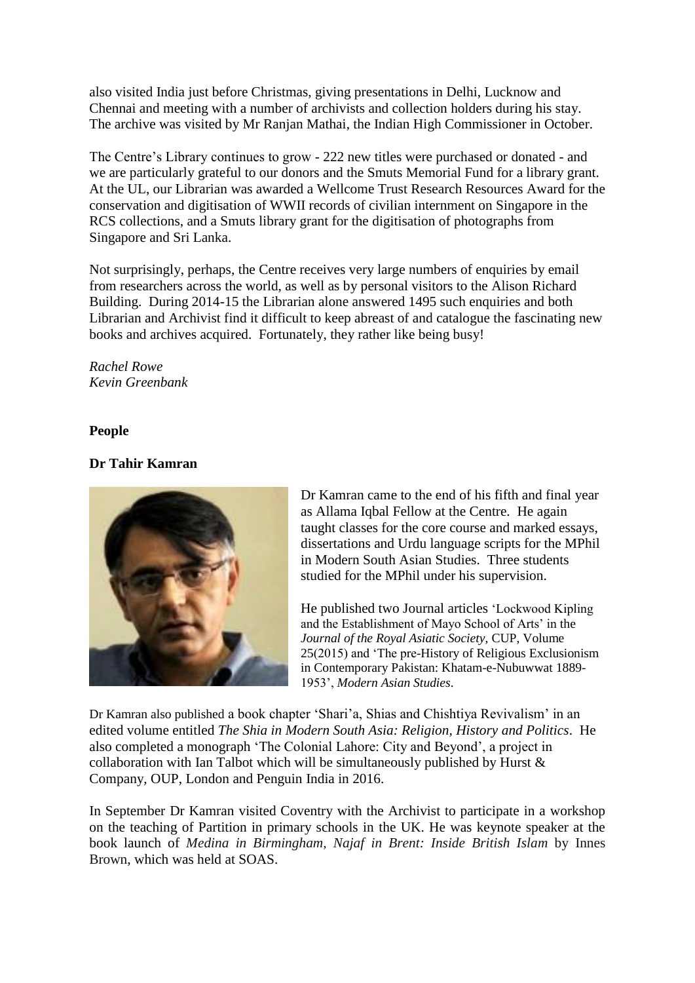also visited India just before Christmas, giving presentations in Delhi, Lucknow and Chennai and meeting with a number of archivists and collection holders during his stay. The archive was visited by Mr Ranjan Mathai, the Indian High Commissioner in October.

The Centre's Library continues to grow - 222 new titles were purchased or donated - and we are particularly grateful to our donors and the Smuts Memorial Fund for a library grant. At the UL, our Librarian was awarded a Wellcome Trust Research Resources Award for the conservation and digitisation of WWII records of civilian internment on Singapore in the RCS collections, and a Smuts library grant for the digitisation of photographs from Singapore and Sri Lanka.

Not surprisingly, perhaps, the Centre receives very large numbers of enquiries by email from researchers across the world, as well as by personal visitors to the Alison Richard Building. During 2014-15 the Librarian alone answered 1495 such enquiries and both Librarian and Archivist find it difficult to keep abreast of and catalogue the fascinating new books and archives acquired. Fortunately, they rather like being busy!

*Rachel Rowe Kevin Greenbank*

#### **People**

## **Dr Tahir Kamran**



Dr Kamran came to the end of his fifth and final year as Allama Iqbal Fellow at the Centre. He again taught classes for the core course and marked essays, dissertations and Urdu language scripts for the MPhil in Modern South Asian Studies. Three students studied for the MPhil under his supervision.

He published two Journal articles 'Lockwood Kipling and the Establishment of Mayo School of Arts' in the *Journal of the Royal Asiatic Society*, CUP, Volume 25(2015) and 'The pre-History of Religious Exclusionism in Contemporary Pakistan: Khatam-e-Nubuwwat 1889- 1953', *Modern Asian Studies*.

Dr Kamran also published a book chapter 'Shari'a, Shias and Chishtiya Revivalism' in an edited volume entitled *The Shia in Modern South Asia: Religion, History and Politics*. He also completed a monograph 'The Colonial Lahore: City and Beyond', a project in collaboration with Ian Talbot which will be simultaneously published by Hurst & Company, OUP, London and Penguin India in 2016.

In September Dr Kamran visited Coventry with the Archivist to participate in a workshop on the teaching of Partition in primary schools in the UK. He was keynote speaker at the book launch of *Medina in Birmingham, Najaf in Brent: Inside British Islam* by Innes Brown, which was held at SOAS.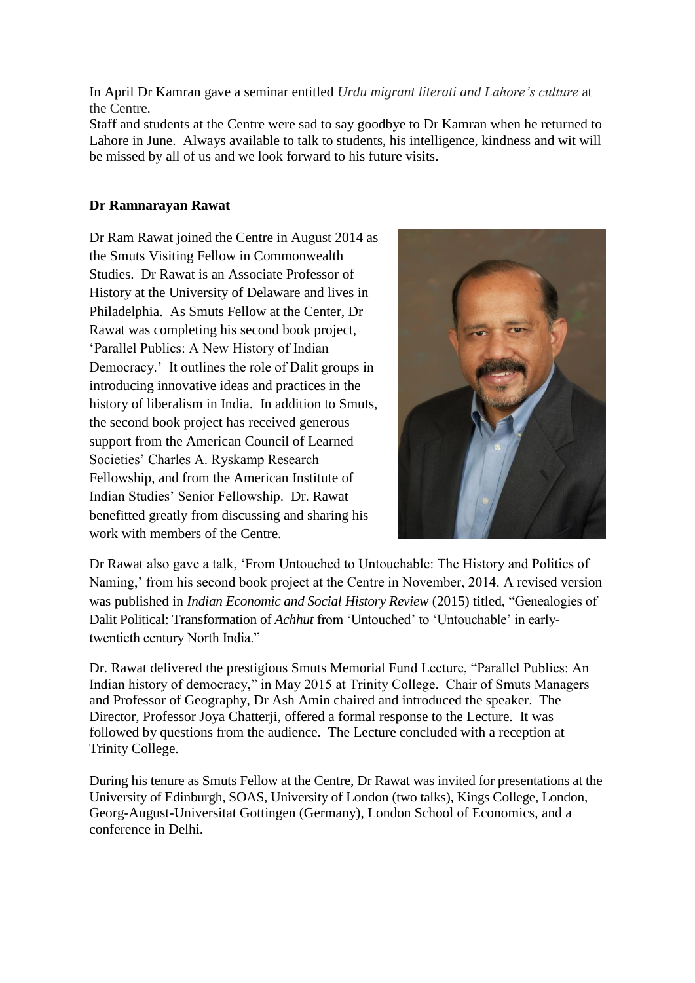In April Dr Kamran gave a seminar entitled *Urdu migrant literati and Lahore's culture* at the Centre.

Staff and students at the Centre were sad to say goodbye to Dr Kamran when he returned to Lahore in June. Always available to talk to students, his intelligence, kindness and wit will be missed by all of us and we look forward to his future visits.

## **Dr Ramnarayan Rawat**

Dr Ram Rawat joined the Centre in August 2014 as the Smuts Visiting Fellow in Commonwealth Studies. Dr Rawat is an Associate Professor of History at the University of Delaware and lives in Philadelphia. As Smuts Fellow at the Center, Dr Rawat was completing his second book project, 'Parallel Publics: A New History of Indian Democracy.' It outlines the role of Dalit groups in introducing innovative ideas and practices in the history of liberalism in India. In addition to Smuts, the second book project has received generous support from the American Council of Learned Societies' Charles A. Ryskamp Research Fellowship, and from the American Institute of Indian Studies' Senior Fellowship. Dr. Rawat benefitted greatly from discussing and sharing his work with members of the Centre.



Dr Rawat also gave a talk, 'From Untouched to Untouchable: The History and Politics of Naming,' from his second book project at the Centre in November, 2014. A revised version was published in *Indian Economic and Social History Review* (2015) titled, "Genealogies of Dalit Political: Transformation of *Achhut* from 'Untouched' to 'Untouchable' in earlytwentieth century North India."

Dr. Rawat delivered the prestigious Smuts Memorial Fund Lecture, "Parallel Publics: An Indian history of democracy," in May 2015 at Trinity College. Chair of Smuts Managers and Professor of Geography, Dr Ash Amin chaired and introduced the speaker. The Director, Professor Joya Chatterji, offered a formal response to the Lecture. It was followed by questions from the audience. The Lecture concluded with a reception at Trinity College.

During his tenure as Smuts Fellow at the Centre, Dr Rawat was invited for presentations at the University of Edinburgh, SOAS, University of London (two talks), Kings College, London, Georg-August-Universitat Gottingen (Germany), London School of Economics, and a conference in Delhi.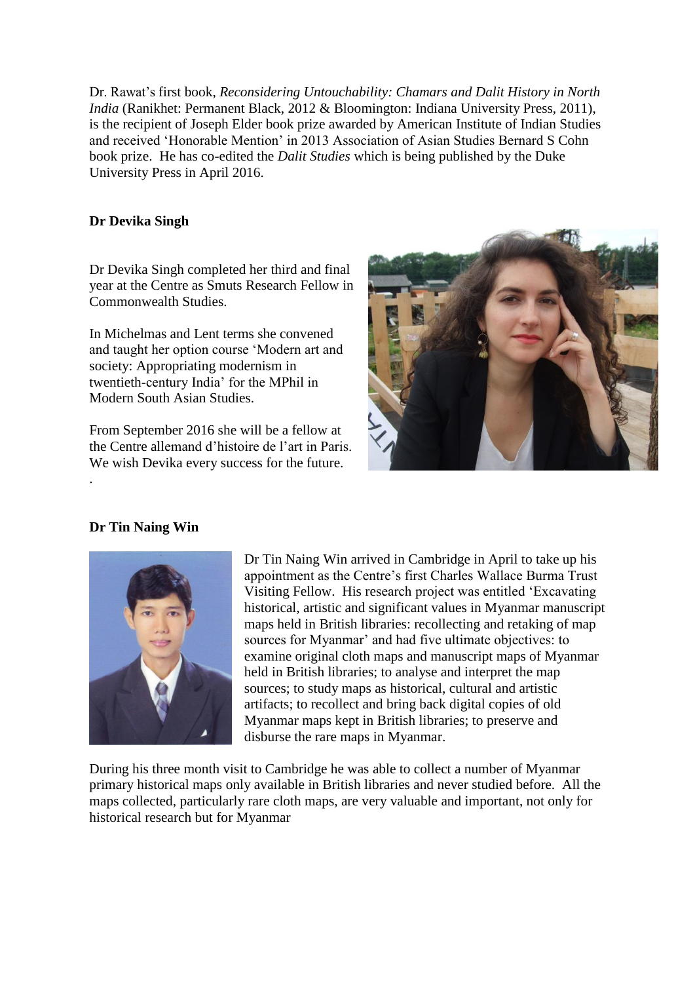Dr. Rawat's first book, *Reconsidering Untouchability: Chamars and Dalit History in North India* (Ranikhet: Permanent Black, 2012 & Bloomington: Indiana University Press, 2011), is the recipient of Joseph Elder book prize awarded by American Institute of Indian Studies and received 'Honorable Mention' in 2013 Association of Asian Studies Bernard S Cohn book prize. He has co-edited the *Dalit Studies* which is being published by the Duke University Press in April 2016.

#### **Dr Devika Singh**

Dr Devika Singh completed her third and final year at the Centre as Smuts Research Fellow in Commonwealth Studies.

In Michelmas and Lent terms she convened and taught her option course 'Modern art and society: Appropriating modernism in twentieth-century India' for the MPhil in Modern South Asian Studies.

From September 2016 she will be a fellow at the Centre allemand d'histoire de l'art in Paris. We wish Devika every success for the future.



## **Dr Tin Naing Win**

.



Dr Tin Naing Win arrived in Cambridge in April to take up his appointment as the Centre's first Charles Wallace Burma Trust Visiting Fellow. His research project was entitled 'Excavating historical, artistic and significant values in Myanmar manuscript maps held in British libraries: recollecting and retaking of map sources for Myanmar' and had five ultimate objectives: to examine original cloth maps and manuscript maps of Myanmar held in British libraries; to analyse and interpret the map sources; to study maps as historical, cultural and artistic artifacts; to recollect and bring back digital copies of old Myanmar maps kept in British libraries; to preserve and disburse the rare maps in Myanmar.

During his three month visit to Cambridge he was able to collect a number of Myanmar primary historical maps only available in British libraries and never studied before. All the maps collected, particularly rare cloth maps, are very valuable and important, not only for historical research but for Myanmar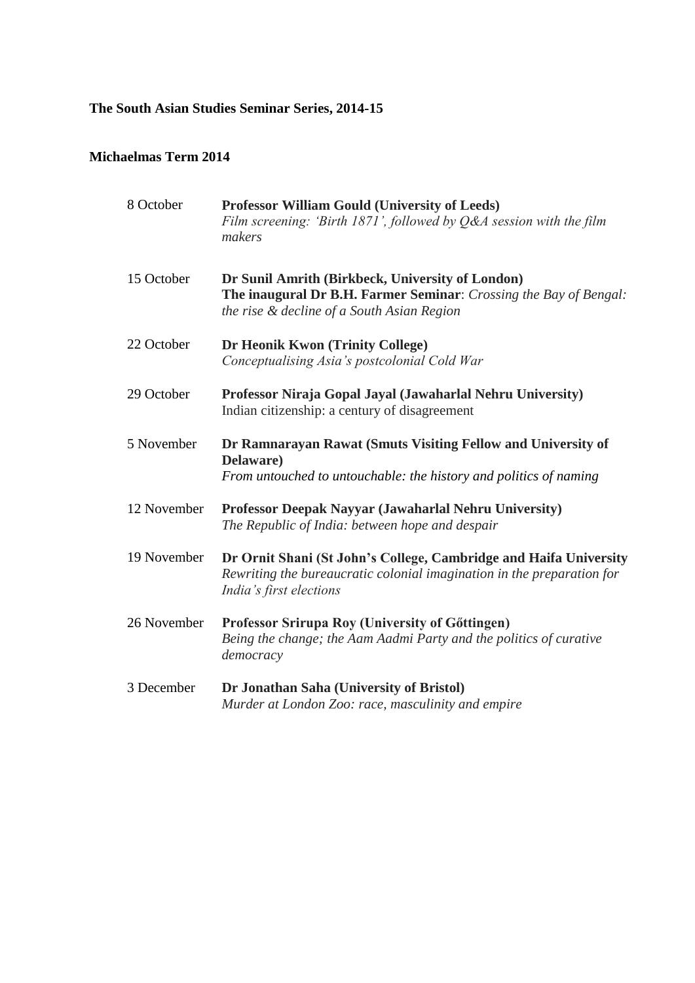# **The South Asian Studies Seminar Series, 2014-15**

# **Michaelmas Term 2014**

| 8 October   | <b>Professor William Gould (University of Leeds)</b><br>Film screening: 'Birth $1871$ ', followed by Q&A session with the film<br>makers                               |
|-------------|------------------------------------------------------------------------------------------------------------------------------------------------------------------------|
| 15 October  | Dr Sunil Amrith (Birkbeck, University of London)<br>The inaugural Dr B.H. Farmer Seminar: Crossing the Bay of Bengal:<br>the rise & decline of a South Asian Region    |
| 22 October  | Dr Heonik Kwon (Trinity College)<br>Conceptualising Asia's postcolonial Cold War                                                                                       |
| 29 October  | Professor Niraja Gopal Jayal (Jawaharlal Nehru University)<br>Indian citizenship: a century of disagreement                                                            |
| 5 November  | Dr Ramnarayan Rawat (Smuts Visiting Fellow and University of<br>Delaware)<br>From untouched to untouchable: the history and politics of naming                         |
| 12 November | Professor Deepak Nayyar (Jawaharlal Nehru University)<br>The Republic of India: between hope and despair                                                               |
| 19 November | Dr Ornit Shani (St John's College, Cambridge and Haifa University<br>Rewriting the bureaucratic colonial imagination in the preparation for<br>India's first elections |
| 26 November | Professor Srirupa Roy (University of Göttingen)<br>Being the change; the Aam Aadmi Party and the politics of curative<br>democracy                                     |
| 3 December  | Dr Jonathan Saha (University of Bristol)<br>Murder at London Zoo: race, masculinity and empire                                                                         |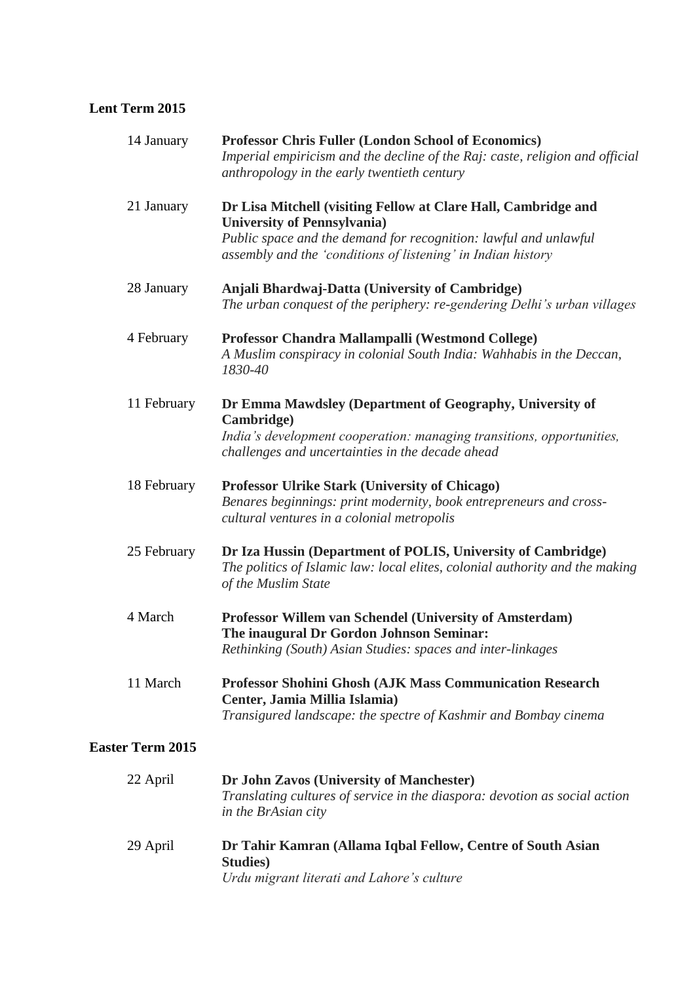# **Lent Term 2015**

| 14 January              | <b>Professor Chris Fuller (London School of Economics)</b><br>Imperial empiricism and the decline of the Raj: caste, religion and official<br>anthropology in the early twentieth century                                                 |
|-------------------------|-------------------------------------------------------------------------------------------------------------------------------------------------------------------------------------------------------------------------------------------|
| 21 January              | Dr Lisa Mitchell (visiting Fellow at Clare Hall, Cambridge and<br><b>University of Pennsylvania</b> )<br>Public space and the demand for recognition: lawful and unlawful<br>assembly and the 'conditions of listening' in Indian history |
| 28 January              | Anjali Bhardwaj-Datta (University of Cambridge)<br>The urban conquest of the periphery: re-gendering Delhi's urban villages                                                                                                               |
| 4 February              | Professor Chandra Mallampalli (Westmond College)<br>A Muslim conspiracy in colonial South India: Wahhabis in the Deccan,<br>1830-40                                                                                                       |
| 11 February             | Dr Emma Mawdsley (Department of Geography, University of<br>Cambridge)<br>India's development cooperation: managing transitions, opportunities,<br>challenges and uncertainties in the decade ahead                                       |
| 18 February             | <b>Professor Ulrike Stark (University of Chicago)</b><br>Benares beginnings: print modernity, book entrepreneurs and cross-<br>cultural ventures in a colonial metropolis                                                                 |
| 25 February             | Dr Iza Hussin (Department of POLIS, University of Cambridge)<br>The politics of Islamic law: local elites, colonial authority and the making<br>of the Muslim State                                                                       |
| 4 March                 | Professor Willem van Schendel (University of Amsterdam)<br>The inaugural Dr Gordon Johnson Seminar:<br>Rethinking (South) Asian Studies: spaces and inter-linkages                                                                        |
| 11 March                | <b>Professor Shohini Ghosh (AJK Mass Communication Research</b><br>Center, Jamia Millia Islamia)<br>Transigured landscape: the spectre of Kashmir and Bombay cinema                                                                       |
| <b>Easter Term 2015</b> |                                                                                                                                                                                                                                           |
| 22 April                | Dr John Zavos (University of Manchester)                                                                                                                                                                                                  |

|          | Translating cultures of service in the diaspora: devotion as social action<br>in the BrAsian city |
|----------|---------------------------------------------------------------------------------------------------|
| 29 April | Dr Tahir Kamran (Allama Iqbal Fellow, Centre of South Asian                                       |
|          | <b>Studies</b> )                                                                                  |
|          | Urdu migrant literati and Lahore's culture                                                        |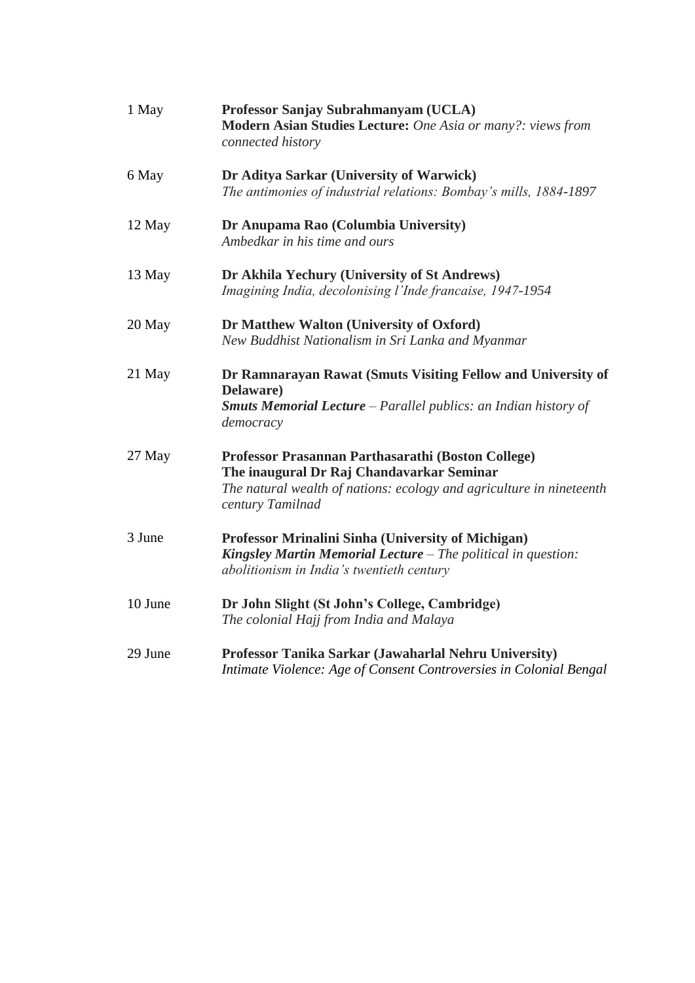| 1 May   | Professor Sanjay Subrahmanyam (UCLA)<br>Modern Asian Studies Lecture: One Asia or many?: views from<br>connected history                                                                    |
|---------|---------------------------------------------------------------------------------------------------------------------------------------------------------------------------------------------|
| 6 May   | Dr Aditya Sarkar (University of Warwick)<br>The antimonies of industrial relations: Bombay's mills, 1884-1897                                                                               |
| 12 May  | Dr Anupama Rao (Columbia University)<br>Ambedkar in his time and ours                                                                                                                       |
| 13 May  | Dr Akhila Yechury (University of St Andrews)<br>Imagining India, decolonising l'Inde francaise, 1947-1954                                                                                   |
| 20 May  | Dr Matthew Walton (University of Oxford)<br>New Buddhist Nationalism in Sri Lanka and Myanmar                                                                                               |
| 21 May  | Dr Ramnarayan Rawat (Smuts Visiting Fellow and University of<br>Delaware)<br><b>Smuts Memorial Lecture</b> – Parallel publics: an Indian history of<br>democracy                            |
| 27 May  | Professor Prasannan Parthasarathi (Boston College)<br>The inaugural Dr Raj Chandavarkar Seminar<br>The natural wealth of nations: ecology and agriculture in nineteenth<br>century Tamilnad |
| 3 June  | Professor Mrinalini Sinha (University of Michigan)<br>Kingsley Martin Memorial Lecture - The political in question:<br>abolitionism in India's twentieth century                            |
| 10 June | Dr John Slight (St John's College, Cambridge)<br>The colonial Hajj from India and Malaya                                                                                                    |
| 29 June | Professor Tanika Sarkar (Jawaharlal Nehru University)<br>Intimate Violence: Age of Consent Controversies in Colonial Bengal                                                                 |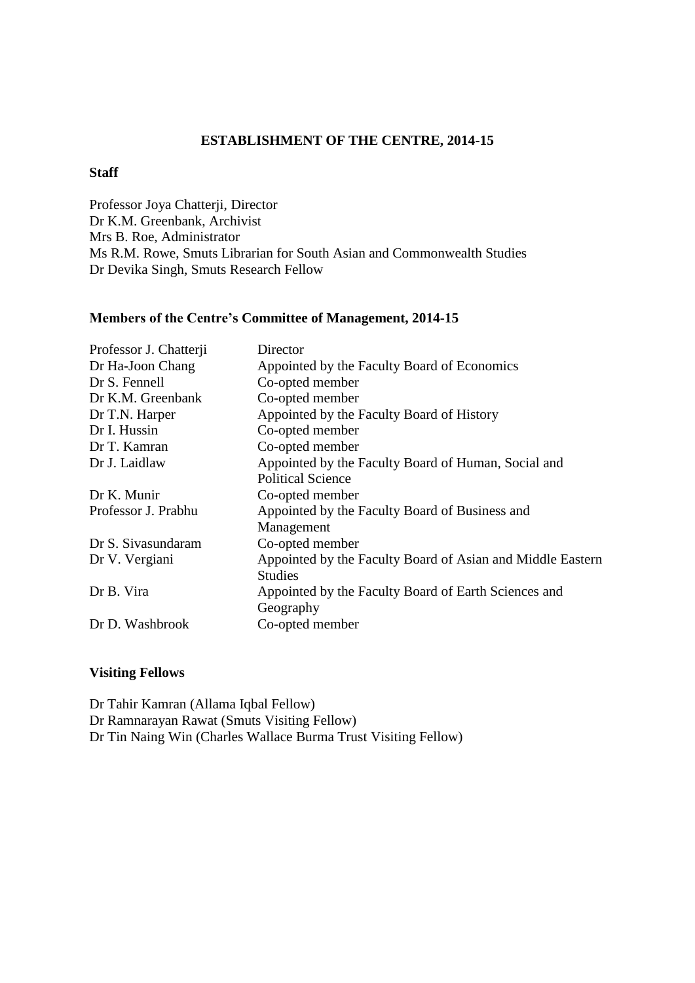#### **ESTABLISHMENT OF THE CENTRE, 2014-15**

#### **Staff**

Professor Joya Chatterji, Director Dr K.M. Greenbank, Archivist Mrs B. Roe, Administrator Ms R.M. Rowe, Smuts Librarian for South Asian and Commonwealth Studies Dr Devika Singh, Smuts Research Fellow

#### **Members of the Centre's Committee of Management, 2014-15**

| Professor J. Chatterji | Director                                                   |
|------------------------|------------------------------------------------------------|
| Dr Ha-Joon Chang       | Appointed by the Faculty Board of Economics                |
| Dr S. Fennell          | Co-opted member                                            |
| Dr K.M. Greenbank      | Co-opted member                                            |
| Dr T.N. Harper         | Appointed by the Faculty Board of History                  |
| Dr I. Hussin           | Co-opted member                                            |
| Dr T. Kamran           | Co-opted member                                            |
| Dr J. Laidlaw          | Appointed by the Faculty Board of Human, Social and        |
|                        | <b>Political Science</b>                                   |
| Dr K. Munir            | Co-opted member                                            |
| Professor J. Prabhu    | Appointed by the Faculty Board of Business and             |
|                        | Management                                                 |
| Dr S. Sivasundaram     | Co-opted member                                            |
| Dr V. Vergiani         | Appointed by the Faculty Board of Asian and Middle Eastern |
|                        | <b>Studies</b>                                             |
| Dr B. Vira             | Appointed by the Faculty Board of Earth Sciences and       |
|                        | Geography                                                  |
| Dr D. Washbrook        | Co-opted member                                            |
|                        |                                                            |

#### **Visiting Fellows**

Dr Tahir Kamran (Allama Iqbal Fellow) Dr Ramnarayan Rawat (Smuts Visiting Fellow) Dr Tin Naing Win (Charles Wallace Burma Trust Visiting Fellow)